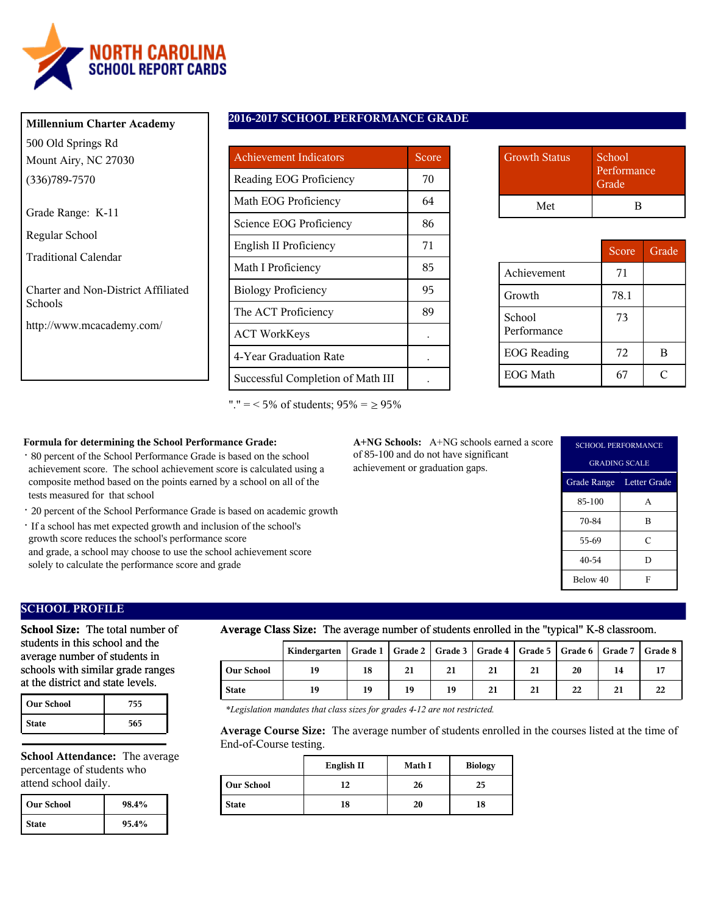

| <b>Millennium Charter Academy</b> |
|-----------------------------------|
| 500 Old Springs Rd                |
| Mount Airy, NC 27030              |
| $(336)789 - 7570$                 |
| Grade Range: K-11                 |
| Regular School                    |

Traditional Calendar

Charter and Non-District Affiliated Schools

http://www.mcacademy.com/

### **2016-2017 SCHOOL PERFORMANCE GRADE**

| <b>Achievement Indicators</b>     | Score |
|-----------------------------------|-------|
| Reading EOG Proficiency           | 70    |
| Math EOG Proficiency              | 64    |
| Science EOG Proficiency           | 86    |
| English II Proficiency            | 71    |
| Math I Proficiency                | 85    |
| <b>Biology Proficiency</b>        | 95    |
| The ACT Proficiency               | 89    |
| <b>ACT WorkKeys</b>               |       |
| 4-Year Graduation Rate            |       |
| Successful Completion of Math III |       |

"."  $=$  < 5% of students;  $95\% = \ge 95\%$ 

| <b>Growth Status</b> | School<br>Performance<br>Grade |
|----------------------|--------------------------------|
| Met                  | K                              |

|                       | Score | Grade |
|-----------------------|-------|-------|
| Achievement           | 71    |       |
| Growth                | 78.1  |       |
| School<br>Performance | 73    |       |
| <b>EOG</b> Reading    | 72    | В     |
| <b>EOG</b> Math       |       |       |

### **Formula for determining the School Performance Grade:**

- · 80 percent of the School Performance Grade is based on the school achievement score. The school achievement score is calculated using a composite method based on the points earned by a school on all of the tests measured for that school
- · 20 percent of the School Performance Grade is based on academic growth
- · If a school has met expected growth and inclusion of the school's growth score reduces the school's performance score and grade, a school may choose to use the school achievement score solely to calculate the performance score and grade

**A+NG Schools:** A+NG schools earned a score of 85-100 and do not have significant achievement or graduation gaps.

| <b>SCHOOL PERFORMANCE</b> |   |  |  |
|---------------------------|---|--|--|
| <b>GRADING SCALE</b>      |   |  |  |
| Grade Range Letter Grade  |   |  |  |
| 85-100                    | A |  |  |
| 70-84                     | B |  |  |
| 55-69                     | C |  |  |
| 40-54                     | D |  |  |
| Below 40                  | F |  |  |

# **SCHOOL PROFILE**

**School Size:** The total number of students in this school and the average number of students in schools with similar grade ranges at the district and state levels.

| <b>Our School</b> | 755 |
|-------------------|-----|
| <b>State</b>      | 565 |

**School Attendance:** The average percentage of students who attend school daily.

| l Our School | 98.4% |
|--------------|-------|
| <b>State</b> | 95.4% |

### **Average Class Size:** The average number of students enrolled in the "typical" K-8 classroom.

|            | Kindergarten   Grade 1   Grade 2   Grade 3   Grade 4   Grade 5   Grade 6   Grade 7   Grade 8 |    |    |    |    |    |    |    |    |
|------------|----------------------------------------------------------------------------------------------|----|----|----|----|----|----|----|----|
| Our School | 19                                                                                           | 18 | 21 | 21 | 21 | 21 | 20 | 14 |    |
| State      | 19                                                                                           | 19 | 19 | 19 | 21 | 21 | 22 | 21 | 22 |

*\*Legislation mandates that class sizes for grades 4-12 are not restricted.*

**Average Course Size:** The average number of students enrolled in the courses listed at the time of End-of-Course testing.

|                   | English II | Math I | <b>Biology</b> |
|-------------------|------------|--------|----------------|
| <b>Our School</b> | 12         | 26     | 25             |
| <b>State</b>      | 18         | 20     | 18             |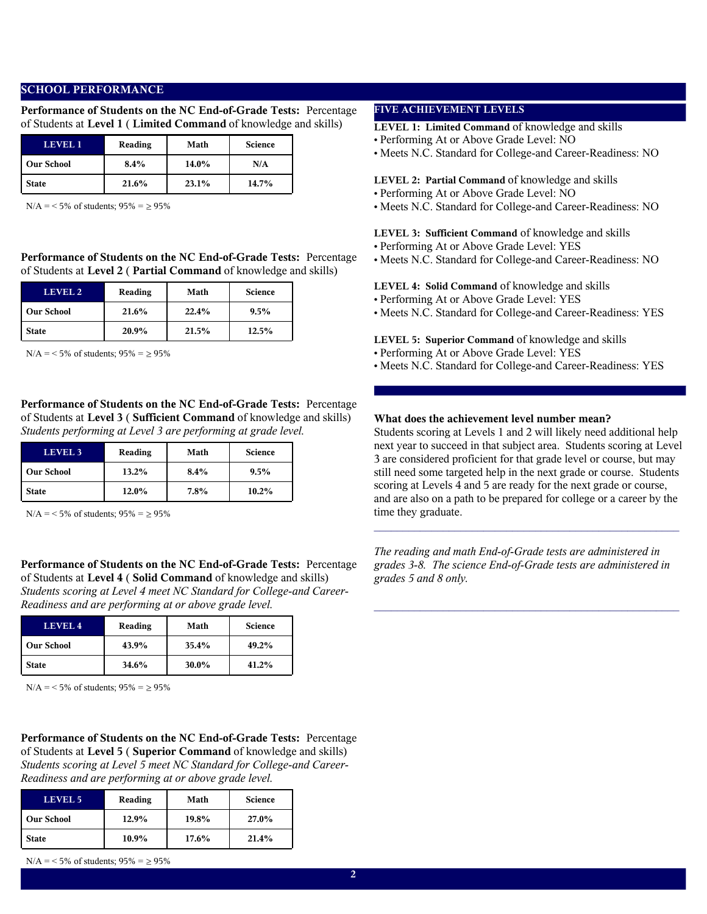# **SCHOOL PERFORMANCE**

**Performance of Students on the NC End-of-Grade Tests:** Percentage of Students at **Level 1** ( **Limited Command** of knowledge and skills)

| LEVEL 1           | Reading | Math  | <b>Science</b> |
|-------------------|---------|-------|----------------|
| <b>Our School</b> | 8.4%    | 14.0% | N/A            |
| <b>State</b>      | 21.6%   | 23.1% | 14.7%          |

 $N/A = 5\%$  of students;  $95\% = \ge 95\%$ 

**Performance of Students on the NC End-of-Grade Tests:** Percentage of Students at **Level 2** ( **Partial Command** of knowledge and skills)

| LEVEL 2           | Reading | Math  | <b>Science</b> |
|-------------------|---------|-------|----------------|
| <b>Our School</b> | 21.6%   | 22.4% | $9.5\%$        |
| <b>State</b>      | 20.9%   | 21.5% | 12.5%          |

 $N/A = 5\%$  of students;  $95\% = 95\%$ 

**Performance of Students on the NC End-of-Grade Tests:** Percentage of Students at **Level 3** ( **Sufficient Command** of knowledge and skills) *Students performing at Level 3 are performing at grade level.*

| LEVEL <sub>3</sub> | Reading  | Math    | <b>Science</b> |
|--------------------|----------|---------|----------------|
| <b>Our School</b>  | $13.2\%$ | 8.4%    | $9.5\%$        |
| <b>State</b>       | 12.0%    | $7.8\%$ | $10.2\%$       |

 $N/A = 5\%$  of students;  $95\% = \ge 95\%$ 

**Performance of Students on the NC End-of-Grade Tests:** Percentage of Students at **Level 4** ( **Solid Command** of knowledge and skills) *Students scoring at Level 4 meet NC Standard for College-and Career-Readiness and are performing at or above grade level.*

| LEVEL <sub>4</sub> | Reading | Math  | <b>Science</b> |
|--------------------|---------|-------|----------------|
| <b>Our School</b>  | 43.9%   | 35.4% | 49.2%          |
| State              | 34.6%   | 30.0% | 41.2%          |

 $N/A = 5\%$  of students;  $95\% = \ge 95\%$ 

**Performance of Students on the NC End-of-Grade Tests:** Percentage of Students at **Level 5** ( **Superior Command** of knowledge and skills) *Students scoring at Level 5 meet NC Standard for College-and Career-Readiness and are performing at or above grade level.*

| LEVEL <sub>5</sub> | Reading  | Math     | <b>Science</b> |
|--------------------|----------|----------|----------------|
| <b>Our School</b>  | 12.9%    | 19.8%    | 27.0%          |
| <b>State</b>       | $10.9\%$ | $17.6\%$ | 21.4%          |

 $N/A = 5\%$  of students;  $95\% = \ge 95\%$ 

### **FIVE ACHIEVEMENT LEVELS**

**LEVEL 1: Limited Command** of knowledge and skills

- Performing At or Above Grade Level: NO
- Meets N.C. Standard for College-and Career-Readiness: NO

#### **LEVEL 2: Partial Command** of knowledge and skills

- Performing At or Above Grade Level: NO
- Meets N.C. Standard for College-and Career-Readiness: NO

**LEVEL 3: Sufficient Command** of knowledge and skills

- Performing At or Above Grade Level: YES
- Meets N.C. Standard for College-and Career-Readiness: NO

### **LEVEL 4: Solid Command** of knowledge and skills

- Performing At or Above Grade Level: YES
- Meets N.C. Standard for College-and Career-Readiness: YES

**LEVEL 5: Superior Command** of knowledge and skills

- Performing At or Above Grade Level: YES
- Meets N.C. Standard for College-and Career-Readiness: YES

### **What does the achievement level number mean?**

Students scoring at Levels 1 and 2 will likely need additional help next year to succeed in that subject area. Students scoring at Level 3 are considered proficient for that grade level or course, but may still need some targeted help in the next grade or course. Students scoring at Levels 4 and 5 are ready for the next grade or course, and are also on a path to be prepared for college or a career by the time they graduate.

 $\mathcal{L}_\text{max}$  and the contract of the contract of the contract of the contract of the contract of the contract of the contract of the contract of the contract of the contract of the contract of the contract of the contrac

*The reading and math End-of-Grade tests are administered in grades 3-8. The science End-of-Grade tests are administered in grades 5 and 8 only.*

 $\mathcal{L}_\text{max}$  and  $\mathcal{L}_\text{max}$  and  $\mathcal{L}_\text{max}$  and  $\mathcal{L}_\text{max}$  and  $\mathcal{L}_\text{max}$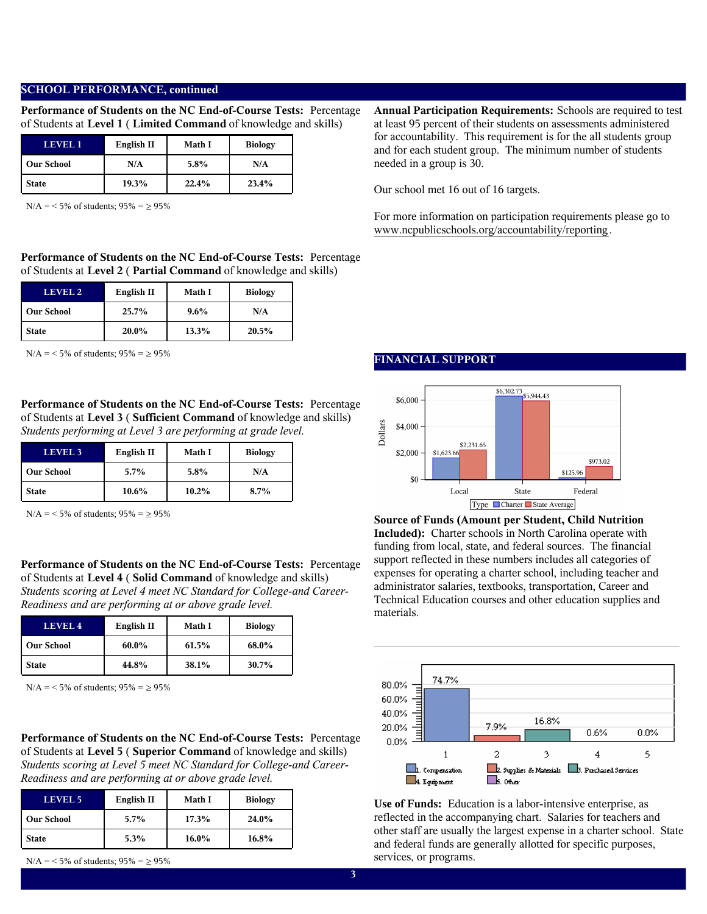## **SCHOOL PERFORMANCE, continued**

**Performance of Students on the NC End-of-Course Tests:** Percentage of Students at **Level 1** ( **Limited Command** of knowledge and skills)

| LEVEL 1           | English II | Math I | <b>Biology</b> |
|-------------------|------------|--------|----------------|
| <b>Our School</b> | N/A        | 5.8%   | N/A            |
| <b>State</b>      | 19.3%      | 22.4%  | 23.4%          |

 $N/A = 5\%$  of students;  $95\% = \ge 95\%$ 

**Performance of Students on the NC End-of-Course Tests:** Percentage of Students at **Level 2** ( **Partial Command** of knowledge and skills)

| LEVEL 2           | English II | <b>Math I</b> | <b>Biology</b> |
|-------------------|------------|---------------|----------------|
| <b>Our School</b> | 25.7%      | $9.6\%$       | N/A            |
| <b>State</b>      | 20.0%      | 13.3%         | 20.5%          |

 $N/A = 5\%$  of students;  $95\% = 95\%$ 

**Performance of Students on the NC End-of-Course Tests:** Percentage of Students at **Level 3** ( **Sufficient Command** of knowledge and skills) *Students performing at Level 3 are performing at grade level.*

| LEVEL <sub>3</sub> | English II | <b>Math I</b> | <b>Biology</b> |
|--------------------|------------|---------------|----------------|
| <b>Our School</b>  | $5.7\%$    | $5.8\%$       | N/A            |
| <b>State</b>       | $10.6\%$   | $10.2\%$      | 8.7%           |

 $N/A = 5\%$  of students;  $95\% = \ge 95\%$ 

**Performance of Students on the NC End-of-Course Tests:** Percentage of Students at **Level 4** ( **Solid Command** of knowledge and skills) *Students scoring at Level 4 meet NC Standard for College-and Career-Readiness and are performing at or above grade level.*

| LEVEL <sub>4</sub> | English II | Math I | <b>Biology</b> |
|--------------------|------------|--------|----------------|
| <b>Our School</b>  | 60.0%      | 61.5%  | 68.0%          |
| <b>State</b>       | 44.8%      | 38.1%  | 30.7%          |

 $N/A = 5\%$  of students;  $95\% = \ge 95\%$ 

**Performance of Students on the NC End-of-Course Tests:** Percentage of Students at **Level 5** ( **Superior Command** of knowledge and skills) *Students scoring at Level 5 meet NC Standard for College-and Career-Readiness and are performing at or above grade level.*

| <b>LEVEL 5</b>    | English II | <b>Math I</b> | <b>Biology</b> |
|-------------------|------------|---------------|----------------|
| <b>Our School</b> | $5.7\%$    | 17.3%         | 24.0%          |
| <b>State</b>      | 5.3%       | $16.0\%$      | 16.8%          |

 $N/A = 5\%$  of students;  $95\% = \ge 95\%$ 

**FINANCIAL SUPPORT**



**Source of Funds (Amount per Student, Child Nutrition Included):** Charter schools in North Carolina operate with funding from local, state, and federal sources. The financial support reflected in these numbers includes all categories of expenses for operating a charter school, including teacher and administrator salaries, textbooks, transportation, Career and Technical Education courses and other education supplies and materials.



 $\mathcal{L}_\text{max}$  and  $\mathcal{L}_\text{max}$  and  $\mathcal{L}_\text{max}$  and  $\mathcal{L}_\text{max}$  and  $\mathcal{L}_\text{max}$ 

**Use of Funds:** Education is a labor-intensive enterprise, as reflected in the accompanying chart. Salaries for teachers and other staff are usually the largest expense in a charter school. State and federal funds are generally allotted for specific purposes, services, or programs.

**Annual Participation Requirements:** Schools are required to test at least 95 percent of their students on assessments administered for accountability. This requirement is for the all students group and for each student group. The minimum number of students needed in a group is 30.

Our school met 16 out of 16 targets.

For more information on participation requirements please go to www.ncpublicschools.org/accountability/reporting.